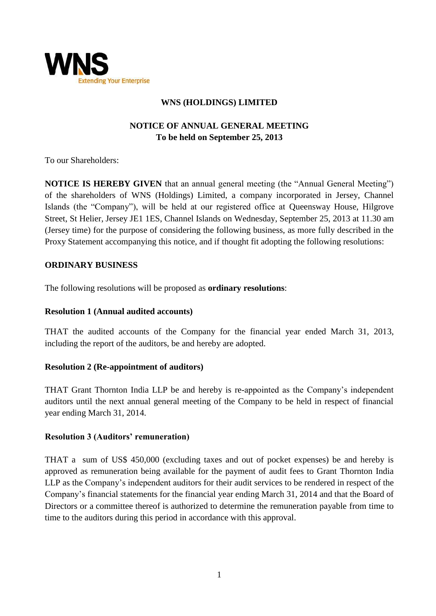

# **WNS (HOLDINGS) LIMITED**

# **NOTICE OF ANNUAL GENERAL MEETING To be held on September 25, 2013**

To our Shareholders:

**NOTICE IS HEREBY GIVEN** that an annual general meeting (the "Annual General Meeting") of the shareholders of WNS (Holdings) Limited, a company incorporated in Jersey, Channel Islands (the "Company"), will be held at our registered office at Queensway House, Hilgrove Street, St Helier, Jersey JE1 1ES, Channel Islands on Wednesday, September 25, 2013 at 11.30 am (Jersey time) for the purpose of considering the following business, as more fully described in the Proxy Statement accompanying this notice, and if thought fit adopting the following resolutions:

### **ORDINARY BUSINESS**

The following resolutions will be proposed as **ordinary resolutions**:

#### **Resolution 1 (Annual audited accounts)**

THAT the audited accounts of the Company for the financial year ended March 31, 2013, including the report of the auditors, be and hereby are adopted.

# **Resolution 2 (Re-appointment of auditors)**

THAT Grant Thornton India LLP be and hereby is re-appointed as the Company's independent auditors until the next annual general meeting of the Company to be held in respect of financial year ending March 31, 2014.

# **Resolution 3 (Auditors' remuneration)**

THAT a sum of US\$ 450,000 (excluding taxes and out of pocket expenses) be and hereby is approved as remuneration being available for the payment of audit fees to Grant Thornton India LLP as the Company's independent auditors for their audit services to be rendered in respect of the Company's financial statements for the financial year ending March 31, 2014 and that the Board of Directors or a committee thereof is authorized to determine the remuneration payable from time to time to the auditors during this period in accordance with this approval.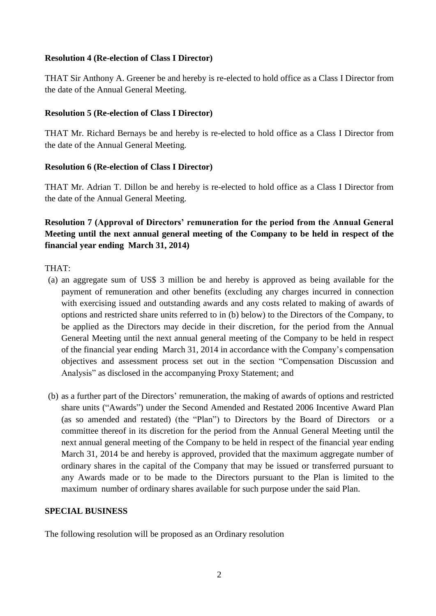### **Resolution 4 (Re-election of Class I Director)**

THAT Sir Anthony A. Greener be and hereby is re-elected to hold office as a Class I Director from the date of the Annual General Meeting.

# **Resolution 5 (Re-election of Class I Director)**

THAT Mr. Richard Bernays be and hereby is re-elected to hold office as a Class I Director from the date of the Annual General Meeting.

### **Resolution 6 (Re-election of Class I Director)**

THAT Mr. Adrian T. Dillon be and hereby is re-elected to hold office as a Class I Director from the date of the Annual General Meeting.

# **Resolution 7 (Approval of Directors' remuneration for the period from the Annual General Meeting until the next annual general meeting of the Company to be held in respect of the financial year ending March 31, 2014)**

THAT:

- (a) an aggregate sum of US\$ 3 million be and hereby is approved as being available for the payment of remuneration and other benefits (excluding any charges incurred in connection with exercising issued and outstanding awards and any costs related to making of awards of options and restricted share units referred to in (b) below) to the Directors of the Company, to be applied as the Directors may decide in their discretion, for the period from the Annual General Meeting until the next annual general meeting of the Company to be held in respect of the financial year ending March 31, 2014 in accordance with the Company's compensation objectives and assessment process set out in the section "Compensation Discussion and Analysis" as disclosed in the accompanying Proxy Statement; and
- (b) as a further part of the Directors' remuneration, the making of awards of options and restricted share units ("Awards") under the Second Amended and Restated 2006 Incentive Award Plan (as so amended and restated) (the "Plan") to Directors by the Board of Directors or a committee thereof in its discretion for the period from the Annual General Meeting until the next annual general meeting of the Company to be held in respect of the financial year ending March 31, 2014 be and hereby is approved, provided that the maximum aggregate number of ordinary shares in the capital of the Company that may be issued or transferred pursuant to any Awards made or to be made to the Directors pursuant to the Plan is limited to the maximum number of ordinary shares available for such purpose under the said Plan.

# **SPECIAL BUSINESS**

The following resolution will be proposed as an Ordinary resolution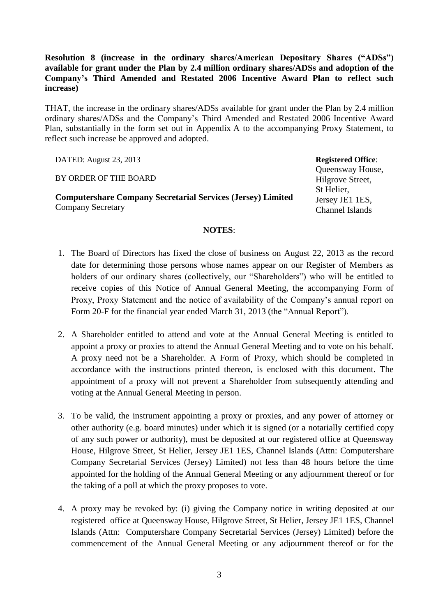**Resolution 8 (increase in the ordinary shares/American Depositary Shares ("ADSs") available for grant under the Plan by 2.4 million ordinary shares/ADSs and adoption of the Company's Third Amended and Restated 2006 Incentive Award Plan to reflect such increase)** 

THAT, the increase in the ordinary shares/ADSs available for grant under the Plan by 2.4 million ordinary shares/ADSs and the Company's Third Amended and Restated 2006 Incentive Award Plan, substantially in the form set out in Appendix A to the accompanying Proxy Statement, to reflect such increase be approved and adopted.

DATED: August 23, 2013

BY ORDER OF THE BOARD

**Computershare Company Secretarial Services (Jersey) Limited** Company Secretary

**Registered Office**:

Queensway House, Hilgrove Street, St Helier, Jersey JE1 1ES, Channel Islands

#### **NOTES**:

- 1. The Board of Directors has fixed the close of business on August 22, 2013 as the record date for determining those persons whose names appear on our Register of Members as holders of our ordinary shares (collectively, our "Shareholders") who will be entitled to receive copies of this Notice of Annual General Meeting, the accompanying Form of Proxy, Proxy Statement and the notice of availability of the Company's annual report on Form 20-F for the financial year ended March 31, 2013 (the "Annual Report").
- 2. A Shareholder entitled to attend and vote at the Annual General Meeting is entitled to appoint a proxy or proxies to attend the Annual General Meeting and to vote on his behalf. A proxy need not be a Shareholder. A Form of Proxy, which should be completed in accordance with the instructions printed thereon, is enclosed with this document. The appointment of a proxy will not prevent a Shareholder from subsequently attending and voting at the Annual General Meeting in person.
- 3. To be valid, the instrument appointing a proxy or proxies, and any power of attorney or other authority (e.g. board minutes) under which it is signed (or a notarially certified copy of any such power or authority), must be deposited at our registered office at Queensway House, Hilgrove Street, St Helier, Jersey JE1 1ES, Channel Islands (Attn: Computershare Company Secretarial Services (Jersey) Limited) not less than 48 hours before the time appointed for the holding of the Annual General Meeting or any adjournment thereof or for the taking of a poll at which the proxy proposes to vote.
- 4. A proxy may be revoked by: (i) giving the Company notice in writing deposited at our registered office at Queensway House, Hilgrove Street, St Helier, Jersey JE1 1ES, Channel Islands (Attn: Computershare Company Secretarial Services (Jersey) Limited) before the commencement of the Annual General Meeting or any adjournment thereof or for the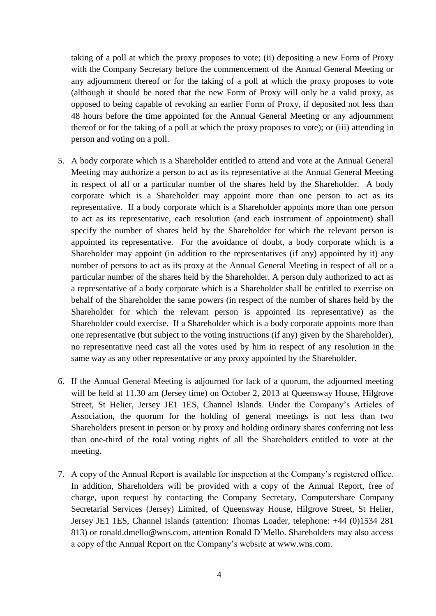taking of a poll at which the proxy proposes to vote; (ii) depositing a new Form of Proxy with the Company Secretary before the commencement of the Annual General Meeting or any adjournment thereof or for the taking of a poll at which the proxy proposes to vote (although it should be noted that the new Form of Proxy will only be a valid proxy, as opposed to being capable of revoking an earlier Form of Proxy, if deposited not less than 48 hours before the time appointed for the Annual General Meeting or any adjournment thereof or for the taking of a poll at which the proxy proposes to vote); or (iii) attending in person and voting on a poll.

- 5. A body corporate which is a Shareholder entitled to attend and vote at the Annual General Meeting may authorize a person to act as its representative at the Annual General Meeting in respect of all or a particular number of the shares held by the Shareholder. A body corporate which is a Shareholder may appoint more than one person to act as its representative. If a body corporate which is a Shareholder appoints more than one person to act as its representative, each resolution (and each instrument of appointment) shall specify the number of shares held by the Shareholder for which the relevant person is appointed its representative. For the avoidance of doubt, a body corporate which is a Shareholder may appoint (in addition to the representatives (if any) appointed by it) any number of persons to act as its proxy at the Annual General Meeting in respect of all or a particular number of the shares held by the Shareholder. A person duly authorized to act as a representative of a body corporate which is a Shareholder shall be entitled to exercise on behalf of the Shareholder the same powers (in respect of the number of shares held by the Shareholder for which the relevant person is appointed its representative) as the Shareholder could exercise. If a Shareholder which is a body corporate appoints more than one representative (but subject to the voting instructions (if any) given by the Shareholder), no representative need cast all the votes used by him in respect of any resolution in the same way as any other representative or any proxy appointed by the Shareholder.
- 6. If the Annual General Meeting is adjourned for lack of a quorum, the adjourned meeting will be held at 11.30 am (Jersey time) on October 2, 2013 at Queensway House, Hilgrove Street, St Helier, Jersey JE1 1ES, Channel Islands. Under the Company's Articles of Association, the quorum for the holding of general meetings is not less than two Shareholders present in person or by proxy and holding ordinary shares conferring not less than one-third of the total voting rights of all the Shareholders entitled to vote at the meeting.
- 7. A copy of the Annual Report is available for inspection at the Company's registered office. In addition, Shareholders will be provided with a copy of the Annual Report, free of charge, upon request by contacting the Company Secretary, Computershare Company Secretarial Services (Jersey) Limited, of Queensway House, Hilgrove Street, St Helier, Jersey JE1 1ES, Channel Islands (attention: Thomas Loader, telephone: +44 (0)1534 281 813) or ronald.dmello@wns.com, attention Ronald D'Mello. Shareholders may also access a copy of the Annual Report on the Company's website at [www.wns.com.](http://www.wns.com/)